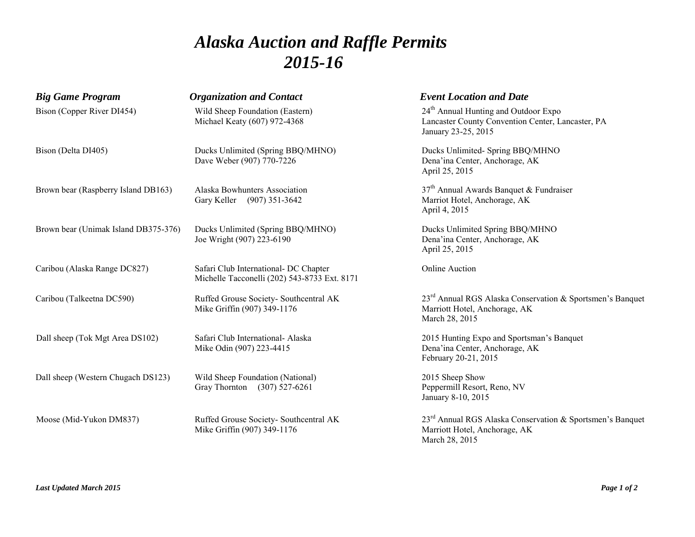# *Alaska Auction and Raffle Permits 2015-16*

| <b>Big Game Program</b>              | <b>Organization and Contact</b>                                                       | <b>Event Location and Date</b>                                                                                               |
|--------------------------------------|---------------------------------------------------------------------------------------|------------------------------------------------------------------------------------------------------------------------------|
| Bison (Copper River DI454)           | Wild Sheep Foundation (Eastern)<br>Michael Keaty (607) 972-4368                       | 24 <sup>th</sup> Annual Hunting and Outdoor Expo<br>Lancaster County Convention Center, Lancaster, PA<br>January 23-25, 2015 |
| Bison (Delta DI405)                  | Ducks Unlimited (Spring BBQ/MHNO)<br>Dave Weber (907) 770-7226                        | Ducks Unlimited-Spring BBQ/MHNO<br>Dena'ina Center, Anchorage, AK<br>April 25, 2015                                          |
| Brown bear (Raspberry Island DB163)  | Alaska Bowhunters Association<br>Gary Keller (907) 351-3642                           | $37th$ Annual Awards Banquet & Fundraiser<br>Marriot Hotel, Anchorage, AK<br>April 4, 2015                                   |
| Brown bear (Unimak Island DB375-376) | Ducks Unlimited (Spring BBQ/MHNO)<br>Joe Wright (907) 223-6190                        | Ducks Unlimited Spring BBQ/MHNO<br>Dena'ina Center, Anchorage, AK<br>April 25, 2015                                          |
| Caribou (Alaska Range DC827)         | Safari Club International- DC Chapter<br>Michelle Tacconelli (202) 543-8733 Ext. 8171 | <b>Online Auction</b>                                                                                                        |
| Caribou (Talkeetna DC590)            | Ruffed Grouse Society- Southcentral AK<br>Mike Griffin (907) 349-1176                 | 23 <sup>rd</sup> Annual RGS Alaska Conservation & Sportsmen's Banquet<br>Marriott Hotel, Anchorage, AK<br>March 28, 2015     |
| Dall sheep (Tok Mgt Area DS102)      | Safari Club International- Alaska<br>Mike Odin (907) 223-4415                         | 2015 Hunting Expo and Sportsman's Banquet<br>Dena'ina Center, Anchorage, AK<br>February 20-21, 2015                          |
| Dall sheep (Western Chugach DS123)   | Wild Sheep Foundation (National)<br>Gray Thornton (307) 527-6261                      | 2015 Sheep Show<br>Peppermill Resort, Reno, NV<br>January 8-10, 2015                                                         |
| Moose (Mid-Yukon DM837)              | Ruffed Grouse Society- Southcentral AK<br>Mike Griffin (907) 349-1176                 | $23rd$ Annual RGS Alaska Conservation & Sportsmen's Banquet<br>Marriott Hotel, Anchorage, AK<br>March 28, 2015               |